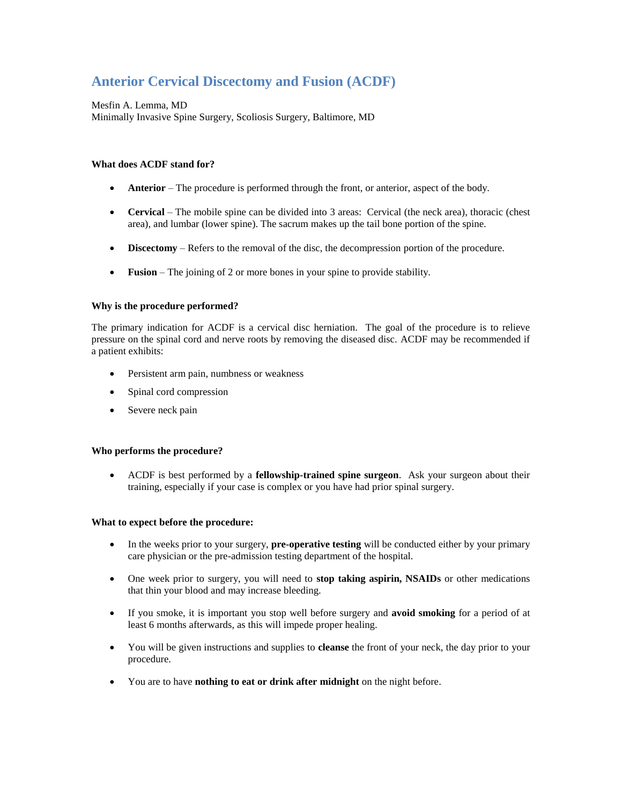# **Anterior Cervical Discectomy and Fusion (ACDF)**

Mesfin A. Lemma, MD Minimally Invasive Spine Surgery, Scoliosis Surgery, Baltimore, MD

# **What does ACDF stand for?**

- **Anterior** The procedure is performed through the front, or anterior, aspect of the body.
- **Cervical** The mobile spine can be divided into 3 areas: Cervical (the neck area), thoracic (chest area), and lumbar (lower spine). The sacrum makes up the tail bone portion of the spine.
- **Discectomy** Refers to the removal of the disc, the decompression portion of the procedure.
- **Fusion** The joining of 2 or more bones in your spine to provide stability.

# **Why is the procedure performed?**

The primary indication for ACDF is a cervical disc herniation. The goal of the procedure is to relieve pressure on the spinal cord and nerve roots by removing the diseased disc. ACDF may be recommended if a patient exhibits:

- Persistent arm pain, numbness or weakness
- Spinal cord compression
- Severe neck pain

### **Who performs the procedure?**

 ACDF is best performed by a **fellowship-trained spine surgeon**. Ask your surgeon about their training, especially if your case is complex or you have had prior spinal surgery.

### **What to expect before the procedure:**

- In the weeks prior to your surgery, **pre-operative testing** will be conducted either by your primary care physician or the pre-admission testing department of the hospital.
- One week prior to surgery, you will need to **stop taking aspirin, NSAIDs** or other medications that thin your blood and may increase bleeding.
- If you smoke, it is important you stop well before surgery and **avoid smoking** for a period of at least 6 months afterwards, as this will impede proper healing.
- You will be given instructions and supplies to **cleanse** the front of your neck, the day prior to your procedure.
- You are to have **nothing to eat or drink after midnight** on the night before.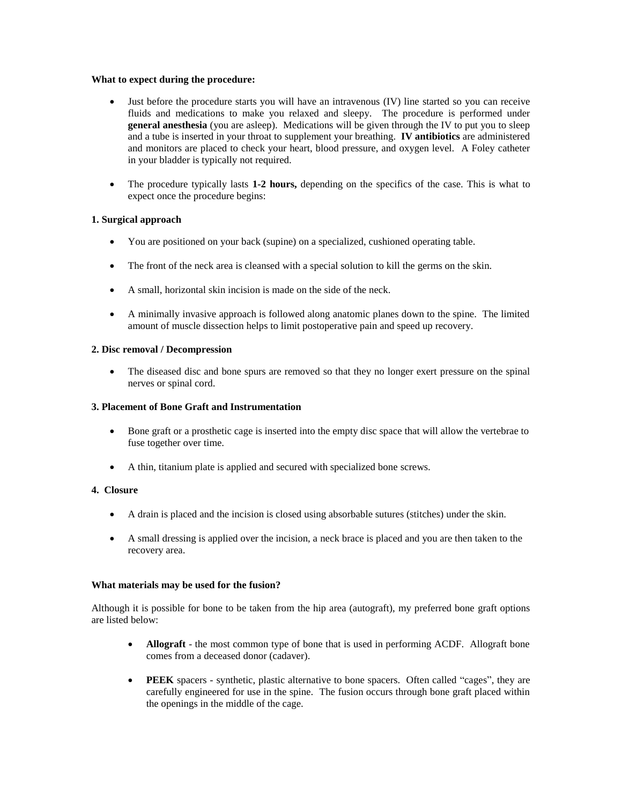## **What to expect during the procedure:**

- Just before the procedure starts you will have an intravenous (IV) line started so you can receive fluids and medications to make you relaxed and sleepy. The procedure is performed under **general anesthesia** (you are asleep). Medications will be given through the IV to put you to sleep and a tube is inserted in your throat to supplement your breathing. **IV antibiotics** are administered and monitors are placed to check your heart, blood pressure, and oxygen level. A Foley catheter in your bladder is typically not required.
- The procedure typically lasts **1-2 hours,** depending on the specifics of the case. This is what to expect once the procedure begins:

# **1. Surgical approach**

- You are positioned on your back (supine) on a specialized, cushioned operating table.
- The front of the neck area is cleansed with a special solution to kill the germs on the skin.
- A small, horizontal skin incision is made on the side of the neck.
- A minimally invasive approach is followed along anatomic planes down to the spine. The limited amount of muscle dissection helps to limit postoperative pain and speed up recovery.

# **2. Disc removal / Decompression**

• The diseased disc and bone spurs are removed so that they no longer exert pressure on the spinal nerves or spinal cord.

# **3. Placement of Bone Graft and Instrumentation**

- Bone graft or a prosthetic cage is inserted into the empty disc space that will allow the vertebrae to fuse together over time.
- A thin, titanium plate is applied and secured with specialized bone screws.

# **4. Closure**

- A drain is placed and the incision is closed using absorbable sutures (stitches) under the skin.
- A small dressing is applied over the incision, a neck brace is placed and you are then taken to the recovery area.

### **What materials may be used for the fusion?**

Although it is possible for bone to be taken from the hip area (autograft), my preferred bone graft options are listed below:

- **Allograft** the most common type of bone that is used in performing ACDF. Allograft bone comes from a deceased donor (cadaver).
- **PEEK** spacers synthetic, plastic alternative to bone spacers. Often called "cages", they are carefully engineered for use in the spine. The fusion occurs through bone graft placed within the openings in the middle of the cage.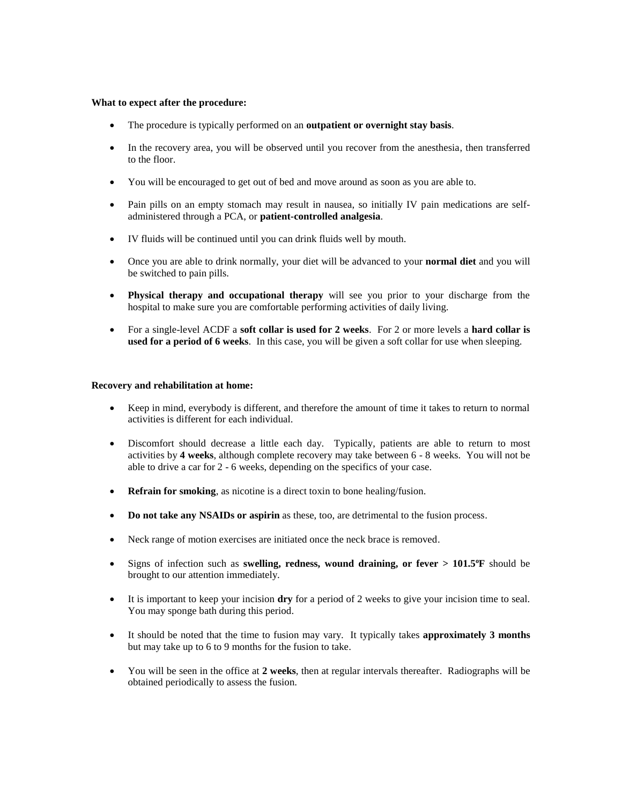#### **What to expect after the procedure:**

- The procedure is typically performed on an **outpatient or overnight stay basis**.
- In the recovery area, you will be observed until you recover from the anesthesia, then transferred to the floor.
- You will be encouraged to get out of bed and move around as soon as you are able to.
- Pain pills on an empty stomach may result in nausea, so initially IV pain medications are selfadministered through a PCA, or **patient-controlled analgesia**.
- IV fluids will be continued until you can drink fluids well by mouth.
- Once you are able to drink normally, your diet will be advanced to your **normal diet** and you will be switched to pain pills.
- **Physical therapy and occupational therapy** will see you prior to your discharge from the hospital to make sure you are comfortable performing activities of daily living.
- For a single-level ACDF a **soft collar is used for 2 weeks**. For 2 or more levels a **hard collar is used for a period of 6 weeks**. In this case, you will be given a soft collar for use when sleeping.

### **Recovery and rehabilitation at home:**

- Keep in mind, everybody is different, and therefore the amount of time it takes to return to normal activities is different for each individual.
- Discomfort should decrease a little each day. Typically, patients are able to return to most activities by **4 weeks**, although complete recovery may take between 6 - 8 weeks. You will not be able to drive a car for 2 - 6 weeks, depending on the specifics of your case.
- **Refrain for smoking**, as nicotine is a direct toxin to bone healing/fusion.
- **Do not take any NSAIDs or aspirin** as these, too, are detrimental to the fusion process.
- Neck range of motion exercises are initiated once the neck brace is removed.
- Signs of infection such as **swelling, redness, wound draining, or fever > 101.5<sup>o</sup>F** should be brought to our attention immediately.
- It is important to keep your incision **dry** for a period of 2 weeks to give your incision time to seal. You may sponge bath during this period.
- It should be noted that the time to fusion may vary. It typically takes **approximately 3 months** but may take up to 6 to 9 months for the fusion to take.
- You will be seen in the office at **2 weeks**, then at regular intervals thereafter. Radiographs will be obtained periodically to assess the fusion.